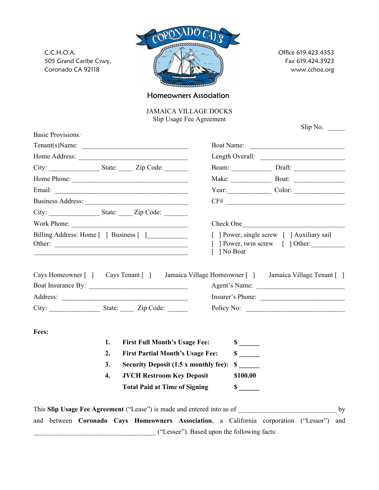C.C.H.O.A. 505 Grand Caribe Cswy. Coronado CA 92118



Office 619.423.4353 Fax 619.424.3923 www.cchoa.org

Homeowners Association

JAMAICA VILLAGE DOCKS Slip Usage Fee Agreement

|                                        |    |                                                                        |                                             |                                                                                             | Slip No. $\qquad \qquad$                                                                                        |  |
|----------------------------------------|----|------------------------------------------------------------------------|---------------------------------------------|---------------------------------------------------------------------------------------------|-----------------------------------------------------------------------------------------------------------------|--|
| <b>Basic Provisions:</b>               |    |                                                                        |                                             |                                                                                             | Boat Name:                                                                                                      |  |
|                                        |    |                                                                        |                                             |                                                                                             | Length Overall:                                                                                                 |  |
|                                        |    |                                                                        |                                             |                                                                                             |                                                                                                                 |  |
|                                        |    |                                                                        |                                             |                                                                                             | Make: Boat: Boat:                                                                                               |  |
|                                        |    |                                                                        |                                             |                                                                                             |                                                                                                                 |  |
|                                        |    |                                                                        |                                             |                                                                                             | $\text{CF}\#$                                                                                                   |  |
|                                        |    | City: State: Zip Code:                                                 |                                             |                                                                                             |                                                                                                                 |  |
|                                        |    |                                                                        |                                             |                                                                                             |                                                                                                                 |  |
| Billing Address: Home [ ] Business [ ] |    |                                                                        |                                             | [ ] Power, single screw [ ] Auxiliary sail<br>[ ] Power, twin screw [ ] Other:<br>] No Boat |                                                                                                                 |  |
|                                        |    |                                                                        |                                             |                                                                                             | Cays Homeowner [ ] Cays Tenant [ ] Jamaica Village Homeowner [ ] Jamaica Village Tenant [ ]<br>Insurer's Phone: |  |
|                                        |    |                                                                        |                                             |                                                                                             |                                                                                                                 |  |
| Fees:                                  |    |                                                                        |                                             |                                                                                             |                                                                                                                 |  |
|                                        | 1. | <b>First Full Month's Usage Fee:</b>                                   |                                             |                                                                                             |                                                                                                                 |  |
|                                        | 2. | <b>First Partial Month's Usage Fee:</b>                                |                                             | $\sim$                                                                                      |                                                                                                                 |  |
|                                        | 3. | <b>Security Deposit (1.5 x monthly fee):</b>                           |                                             | $\sim$                                                                                      |                                                                                                                 |  |
|                                        | 4. | <b>JVCH Restroom Key Deposit</b>                                       |                                             | \$100.00                                                                                    |                                                                                                                 |  |
|                                        |    | <b>Total Paid at Time of Signing</b>                                   |                                             | $\frac{\text{S}}{\text{S}}$                                                                 |                                                                                                                 |  |
|                                        |    | This Slip Usage Fee Agreement ("Lease") is made and entered into as of |                                             |                                                                                             | by                                                                                                              |  |
|                                        |    |                                                                        |                                             |                                                                                             | and between Coronado Cays Homeowners Association, a California corporation ("Lessor")<br>and                    |  |
|                                        |    |                                                                        | ("Lessee"). Based upon the following facts: |                                                                                             |                                                                                                                 |  |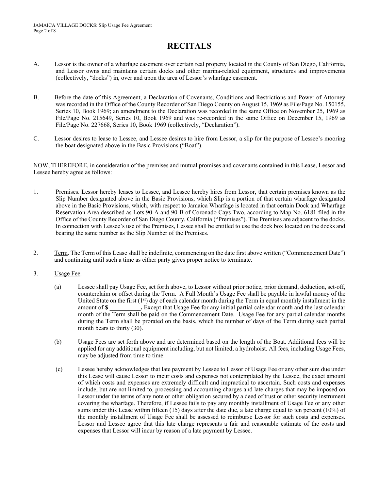## **RECITALS**

- A. Lessor is the owner of a wharfage easement over certain real property located in the County of San Diego, California, and Lessor owns and maintains certain docks and other marina-related equipment, structures and improvements (collectively, "docks") in, over and upon the area of Lessor's wharfage easement.
- B. Before the date of this Agreement, a Declaration of Covenants, Conditions and Restrictions and Power of Attorney was recorded in the Office of the County Recorder of San Diego County on August 15, 1969 as File/Page No. 150155, Series 10, Book 1969; an amendment to the Declaration was recorded in the same Office on November 25, 1969 as File/Page No. 215649, Series 10, Book 1969 and was re-recorded in the same Office on December 15, 1969 as File/Page No. 227668, Series 10, Book 1969 (collectively, "Declaration").
- C. Lessor desires to lease to Lessee, and Lessee desires to hire from Lessor, a slip for the purpose of Lessee's mooring the boat designated above in the Basic Provisions ("Boat").

NOW, THEREFORE, in consideration of the premises and mutual promises and covenants contained in this Lease, Lessor and Lessee hereby agree as follows:

- 1. Premises. Lessor hereby leases to Lessee, and Lessee hereby hires from Lessor, that certain premises known as the Slip Number designated above in the Basic Provisions, which Slip is a portion of that certain wharfage designated above in the Basic Provisions, which, with respect to Jamaica Wharfage is located in that certain Dock and Wharfage Reservation Area described as Lots 90-A and 90-B of Coronado Cays Two, according to Map No. 6181 filed in the Office of the County Recorder of San Diego County, California ("Premises"). The Premises are adjacent to the docks. In connection with Lessee's use of the Premises, Lessee shall be entitled to use the dock box located on the docks and bearing the same number as the Slip Number of the Premises.
- 2. Term. The Term of this Lease shall be indefinite, commencing on the date first above written ("Commencement Date") and continuing until such a time as either party gives proper notice to terminate.
- 3. Usage Fee.
	- (a) Lessee shall pay Usage Fee, set forth above, to Lessor without prior notice, prior demand, deduction, set-off, counterclaim or offset during the Term. A Full Month's Usage Fee shall be payable in lawful money of the United State on the first  $(1^{st})$  day of each calendar month during the Term in equal monthly installment in the amount of  $\$$  . Except that Usage Fee for any initial partial calendar month and the last calendar . Except that Usage Fee for any initial partial calendar month and the last calendar month of the Term shall be paid on the Commencement Date. Usage Fee for any partial calendar months during the Term shall be prorated on the basis, which the number of days of the Term during such partial month bears to thirty (30).
	- (b) Usage Fees are set forth above and are determined based on the length of the Boat. Additional fees will be applied for any additional equipment including, but not limited, a hydrohoist. All fees, including Usage Fees, may be adjusted from time to time.
	- (c) Lessee hereby acknowledges that late payment by Lessee to Lessor of Usage Fee or any other sum due under this Lease will cause Lessor to incur costs and expenses not contemplated by the Lessee, the exact amount of which costs and expenses are extremely difficult and impractical to ascertain. Such costs and expenses include, but are not limited to, processing and accounting charges and late charges that may be imposed on Lessor under the terms of any note or other obligation secured by a deed of trust or other security instrument covering the wharfage. Therefore, if Lessee fails to pay any monthly installment of Usage Fee or any other sums under this Lease within fifteen (15) days after the date due, a late charge equal to ten percent (10%) of the monthly installment of Usage Fee shall be assessed to reimburse Lessor for such costs and expenses. Lessor and Lessee agree that this late charge represents a fair and reasonable estimate of the costs and expenses that Lessor will incur by reason of a late payment by Lessee.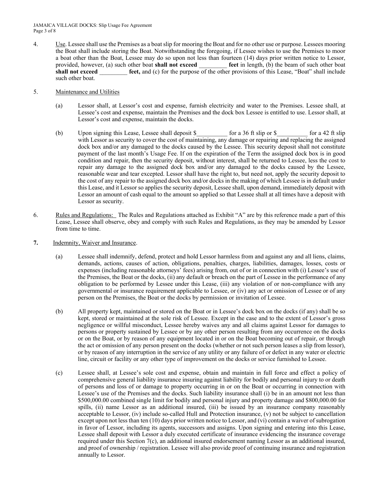4. Use. Lessee shall use the Premises as a boat slip for mooring the Boat and for no other use or purpose. Lessees mooring the Boat shall include storing the Boat. Notwithstanding the foregoing, if Lessee wishes to use the Premises to moor a boat other than the Boat, Lessee may do so upon not less than fourteen (14) days prior written notice to Lessor, provided, however, (a) such other boat **shall not exceed** feet in length, (b) the beam of such other boat provided, however, (a) such other boat **shall not exceed shall not exceed exceed feet, and (c)** for the purpose of the other provisions of this Lease, "Boat" shall include such other boat.

## 5. Maintenance and Utilities

- (a) Lessor shall, at Lessor's cost and expense, furnish electricity and water to the Premises. Lessee shall, at Lessee's cost and expense, maintain the Premises and the dock box Lessee is entitled to use. Lessor shall, at Lessor's cost and expense, maintain the docks.
- (b) Upon signing this Lease, Lessee shall deposit \$  $\qquad$  for a 36 ft slip or \$  $\qquad$  for a 42 ft slip with Lessor as security to cover the cost of maintaining, any damage or repairing and replacing the assigned dock box and/or any damaged to the docks caused by the Lessee. This security deposit shall not constitute payment of the last month's Usage Fee. If on the expiration of the Term the assigned dock box is in good condition and repair, then the security deposit, without interest, shall be returned to Lessee, less the cost to repair any damage to the assigned dock box and/or any damaged to the docks caused by the Lessee, reasonable wear and tear excepted. Lessor shall have the right to, but need not, apply the security deposit to the cost of any repair to the assigned dock box and/or docks in the making of which Lessee is in default under this Lease, and it Lessor so applies the security deposit, Lessee shall, upon demand, immediately deposit with Lessor an amount of cash equal to the amount so applied so that Lessee shall at all times have a deposit with Lessor as security.
- 6. Rules and Regulations: The Rules and Regulations attached as Exhibit "A" are by this reference made a part of this Lease, Lessee shall observe, obey and comply with such Rules and Regulations, as they may be amended by Lessor from time to time.
- **7.** Indemnity, Waiver and Insurance.
	- (a) Lessee shall indemnify, defend, protect and hold Lessor harmless from and against any and all liens, claims, demands, actions, causes of action, obligations, penalties, charges, liabilities, damages, losses, costs or expenses (including reasonable attorneys' fees) arising from, out of or in connection with (i) Lessee's use of the Premises, the Boat or the docks, (ii) any default or breach on the part of Lessee in the performance of any obligation to be performed by Lessee under this Lease, (iii) any violation of or non-compliance with any governmental or insurance requirement applicable to Lessee, or (iv) any act or omission of Lessee or of any person on the Premises, the Boat or the docks by permission or invitation of Lessee.
	- (b) All property kept, maintained or stored on the Boat or in Lessee's dock box on the docks (if any) shall be so kept, stored or maintained at the sole risk of Lessee. Except in the case and to the extent of Lessor's gross negligence or willful misconduct, Lessee hereby waives any and all claims against Lessor for damages to persons or property sustained by Lessee or by any other person resulting from any occurrence on the docks or on the Boat, or by reason of any equipment located in or on the Boat becoming out of repair, or through the act or omission of any person present on the docks (whether or not such person leases a slip from lessor), or by reason of any interruption in the service of any utility or any failure of or defect in any water or electric line, circuit or facility or any other type of improvement on the docks or service furnished to Lessee.
	- (c) Lessee shall, at Lessee's sole cost and expense, obtain and maintain in full force and effect a policy of comprehensive general liability insurance insuring against liability for bodily and personal injury to or death of persons and loss of or damage to property occurring in or on the Boat or occurring in connection with Lessee's use of the Premises and the docks. Such liability insurance shall (i) be in an amount not less than \$500,000.00 combined single limit for bodily and personal injury and property damage and \$800,000.00 for spills, (ii) name Lessor as an additional insured, (iii) be issued by an insurance company reasonably acceptable to Lessor, (iv) include so-called Hull and Protection insurance, (v) not be subject to cancellation except upon not less than ten (10) days prior written notice to Lessor, and (vi) contain a waiver of subrogation in favor of Lessor, including its agents, successors and assigns. Upon signing and entering into this Lease, Lessee shall deposit with Lessor a duly executed certificate of insurance evidencing the insurance coverage required under this Section 7(c), an additional insured endorsement naming Lessor as an additional insured, and proof of ownership / registration. Lessee will also provide proof of continuing insurance and registration annually to Lessor.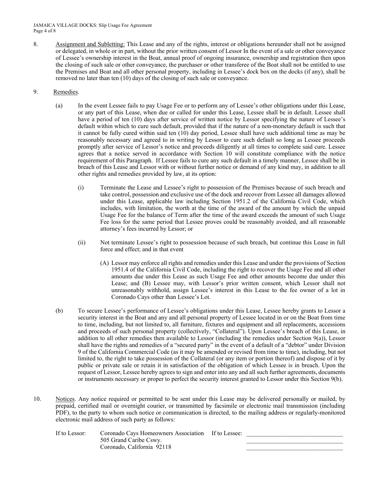- 8. Assignment and Subletting: This Lease and any of the rights, interest or obligations hereunder shall not be assigned or delegated, in whole or in part, without the prior written consent of Lessor In the event of a sale or other conveyance of Lessee's ownership interest in the Boat, annual proof of ongoing insurance, ownership and registration then upon the closing of such sale or other conveyance, the purchaser or other transferee of the Boat shall not be entitled to use the Premises and Boat and all other personal property, including in Lessee's dock box on the docks (if any), shall be removed no later than ten (10) days of the closing of such sale or conveyance.
- 9. Remedies.
	- (a) In the event Lessee fails to pay Usage Fee or to perform any of Lessee's other obligations under this Lease, or any part of this Lease, when due or called for under this Lease, Lessee shall be in default. Lessee shall have a period of ten (10) days after service of written notice by Lessor specifying the nature of Lessee's default within which to cure such default, provided that if the nature of a non-monetary default is such that it cannot be fully cured within said ten (10) day period, Lessee shall have such additional time as may be reasonably necessary and agreed to in writing by Lessor to cure such default so long as Lessee proceeds promptly after service of Lessor's notice and proceeds diligently at all times to complete said cure. Lessee agrees that a notice served in accordance with Section 10 will constitute compliance with the notice requirement of this Paragraph. If Lessee fails to cure any such default in a timely manner, Lessee shall be in breach of this Lease and Lessor with or without further notice or demand of any kind may, in addition to all other rights and remedies provided by law, at its option:
		- (i) Terminate the Lease and Lessee's right to possession of the Premises because of such breach and take control, possession and exclusive use of the dock and recover from Lessee all damages allowed under this Lease, applicable law including Section 1951.2 of the California Civil Code, which includes, with limitation, the worth at the time of the award of the amount by which the unpaid Usage Fee for the balance of Term after the time of the award exceeds the amount of such Usage Fee loss for the same period that Lessee proves could be reasonably avoided, and all reasonable attorney's fees incurred by Lessor; or
		- (ii) Not terminate Lessee's right to possession because of such breach, but continue this Lease in full force and effect; and in that event
			- (A) Lessor may enforce all rights and remedies under this Lease and under the provisions of Section 1951.4 of the California Civil Code, including the right to recover the Usage Fee and all other amounts due under this Lease as such Usage Fee and other amounts become due under this Lease; and (B) Lessee may, with Lessor's prior written consent, which Lessor shall not unreasonably withhold, assign Lessee's interest in this Lease to the fee owner of a lot in Coronado Cays other than Lessee's Lot.
	- (b) To secure Lessee's performance of Lessee's obligations under this Lease, Lessee hereby grants to Lessor a security interest in the Boat and any and all personal property of Lessee located in or on the Boat from time to time, including, but not limited to, all furniture, fixtures and equipment and all replacements, accessions and proceeds of such personal property (collectively, "Collateral"). Upon Lessee's breach of this Lease, in addition to all other remedies then available to Lessor (including the remedies under Section  $9(a)$ ), Lessor shall have the rights and remedies of a "secured party" in the event of a default of a "debtor" under Division 9 of the California Commercial Code (as it may be amended or revised from time to time), including, but not limited to, the right to take possession of the Collateral (or any item or portion thereof) and dispose of it by public or private sale or retain it in satisfaction of the obligation of which Lessee is in breach. Upon the request of Lessor, Lessee hereby agrees to sign and enter into any and all such further agreements, documents or instruments necessary or proper to perfect the security interest granted to Lessor under this Section 9(b).
- 10. Notices. Any notice required or permitted to be sent under this Lease may be delivered personally or mailed, by prepaid, certified mail or overnight courier, or transmitted by facsimile or electronic mail transmission (including PDF), to the party to whom such notice or communication is directed, to the mailing address or regularly-monitored electronic mail address of such party as follows:

| If to Lessor: | Coronado Cavs Homeowners Association If to Lessee: |  |
|---------------|----------------------------------------------------|--|
|               | 505 Grand Caribe Cswy.                             |  |
|               | Coronado, California 92118                         |  |
|               |                                                    |  |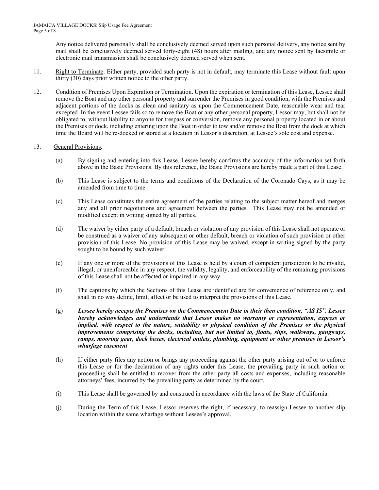Any notice delivered personally shall be conclusively deemed served upon such personal delivery, any notice sent by mail shall be conclusively deemed served forty-eight (48) hours after mailing, and any notice sent by facsimile or electronic mail transmission shall be conclusively deemed served when sent.

- 11. Right to Terminate. Either party, provided such party is not in default, may terminate this Lease without fault upon thirty (30) days prior written notice to the other party.
- 12. Condition of Premises Upon Expiration or Termination. Upon the expiration or termination of this Lease, Lessee shall remove the Boat and any other personal property and surrender the Premises in good condition, with the Premises and adjacent portions of the docks as clean and sanitary as upon the Commencement Date, reasonable wear and tear excepted. In the event Lessee fails so to remove the Boat or any other personal property, Lessor may, but shall not be obligated to, without liability to anyone for trespass or conversion, remove any personal property located in or about the Premises or dock, including entering upon the Boat in order to tow and/or remove the Boat from the dock at which time the Board will be re-docked or stored at a location in Lessor's discretion, at Lessee's sole cost and expense.

## 13. General Provisions.

- (a) By signing and entering into this Lease, Lessee hereby confirms the accuracy of the information set forth above in the Basic Provisions. By this reference, the Basic Provisions are hereby made a part of this Lease.
- (b) This Lease is subject to the terms and conditions of the Declaration of the Coronado Cays, as it may be amended from time to time.
- (c) This Lease constitutes the entire agreement of the parties relating to the subject matter hereof and merges any and all prior negotiations and agreement between the parties. This Lease may not be amended or modified except in writing signed by all parties.
- (d) The waiver by either party of a default, breach or violation of any provision of this Lease shall not operate or be construed as a waiver of any subsequent or other default, breach or violation of such provision or other provision of this Lease. No provision of this Lease may be waived, except in writing signed by the party sought to be bound by such waiver.
- (e) If any one or more of the provisions of this Lease is held by a court of competent jurisdiction to be invalid, illegal, or unenforceable in any respect, the validity, legality, and enforceability of the remaining provisions of this Lease shall not be affected or impaired in any way.
- (f) The captions by which the Sections of this Lease are identified are for convenience of reference only, and shall in no way define, limit, affect or be used to interpret the provisions of this Lease.
- (g) *Lessee hereby accepts the Premises on the Commencement Date in their then condition, "AS IS". Lessee hereby acknowledges and understands that Lessor makes no warranty or representation, express or implied, with respect to the nature, suitability or physical condition of the Premises or the physical improvements comprising the docks, including, but not limited to, floats, slips, walkways, gangways, ramps, mooring gear, dock boxes, electrical outlets, plumbing, equipment or other premises in Lessor's wharfage easement*
- (h) If either party files any action or brings any proceeding against the other party arising out of or to enforce this Lease or for the declaration of any rights under this Lease, the prevailing party in such action or proceeding shall be entitled to recover from the other party all costs and expenses, including reasonable attorneys' fees, incurred by the prevailing party as determined by the court.
- (i) This Lease shall be governed by and construed in accordance with the laws of the State of California.
- (j) During the Term of this Lease, Lessor reserves the right, if necessary, to reassign Lessee to another slip location within the same wharfage without Lessee's approval.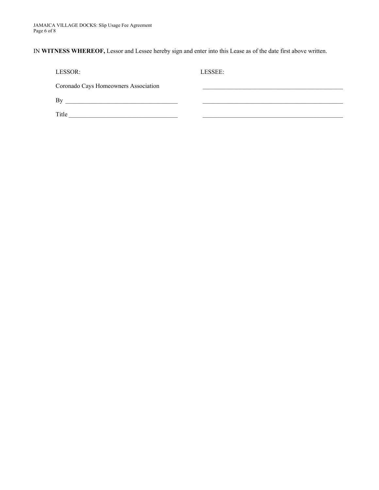IN **WITNESS WHEREOF,** Lessor and Lessee hereby sign and enter into this Lease as of the date first above written.

| LESSOR:                                                                          | LESSEE: |
|----------------------------------------------------------------------------------|---------|
| Coronado Cays Homeowners Association                                             |         |
| Bv<br>the control of the control of the control of the control of the control of |         |
| Title                                                                            |         |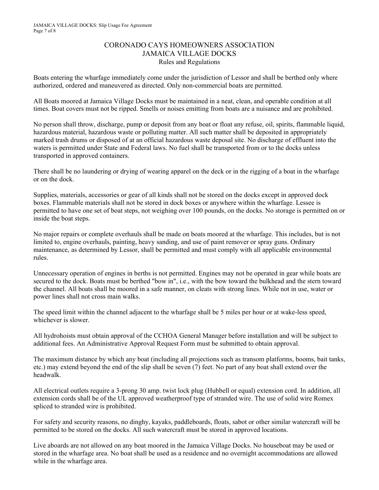## CORONADO CAYS HOMEOWNERS ASSOCIATION JAMAICA VILLAGE DOCKS Rules and Regulations

Boats entering the wharfage immediately come under the jurisdiction of Lessor and shall be berthed only where authorized, ordered and maneuvered as directed. Only non-commercial boats are permitted.

All Boats moored at Jamaica Village Docks must be maintained in a neat, clean, and operable condition at all times. Boat covers must not be ripped. Smells or noises emitting from boats are a nuisance and are prohibited.

No person shall throw, discharge, pump or deposit from any boat or float any refuse, oil, spirits, flammable liquid, hazardous material, hazardous waste or polluting matter. All such matter shall be deposited in appropriately marked trash drums or disposed of at an official hazardous waste deposal site. No discharge of effluent into the waters is permitted under State and Federal laws. No fuel shall be transported from or to the docks unless transported in approved containers.

There shall be no laundering or drying of wearing apparel on the deck or in the rigging of a boat in the wharfage or on the dock.

Supplies, materials, accessories or gear of all kinds shall not be stored on the docks except in approved dock boxes. Flammable materials shall not be stored in dock boxes or anywhere within the wharfage. Lessee is permitted to have one set of boat steps, not weighing over 100 pounds, on the docks. No storage is permitted on or inside the boat steps.

No major repairs or complete overhauls shall be made on boats moored at the wharfage. This includes, but is not limited to, engine overhauls, painting, heavy sanding, and use of paint remover or spray guns. Ordinary maintenance, as determined by Lessor, shall be permitted and must comply with all applicable environmental rules.

Unnecessary operation of engines in berths is not permitted. Engines may not be operated in gear while boats are secured to the dock. Boats must be berthed "bow in", i.e., with the bow toward the bulkhead and the stern toward the channel. All boats shall be moored in a safe manner, on cleats with strong lines. While not in use, water or power lines shall not cross main walks.

The speed limit within the channel adjacent to the wharfage shall be 5 miles per hour or at wake-less speed, whichever is slower.

All hydrohoists must obtain approval of the CCHOA General Manager before installation and will be subject to additional fees. An Administrative Approval Request Form must be submitted to obtain approval.

The maximum distance by which any boat (including all projections such as transom platforms, booms, bait tanks, etc.) may extend beyond the end of the slip shall be seven (7) feet. No part of any boat shall extend over the headwalk.

All electrical outlets require a 3-prong 30 amp. twist lock plug (Hubbell or equal) extension cord. In addition, all extension cords shall be of the UL approved weatherproof type of stranded wire. The use of solid wire Romex spliced to stranded wire is prohibited.

For safety and security reasons, no dinghy, kayaks, paddleboards, floats, sabot or other similar watercraft will be permitted to be stored on the docks. All such watercraft must be stored in approved locations.

Live aboards are not allowed on any boat moored in the Jamaica Village Docks. No houseboat may be used or stored in the wharfage area. No boat shall be used as a residence and no overnight accommodations are allowed while in the wharfage area.